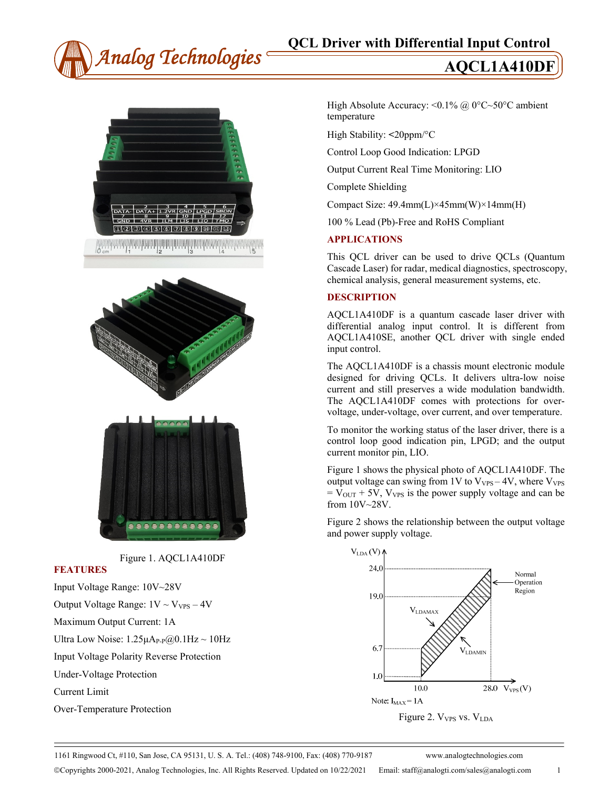# *Analog Technologies* **QCL Driver with Differential Input Control**

### **AQCL1A410DF**





#### Figure 1. AQCL1A410DF

#### **FEATURES**

Input Voltage Range: 10V~28V Output Voltage Range:  $1V \sim V_{VPS} - 4V$ Maximum Output Current: 1A Ultra Low Noise:  $1.25\mu A_{P-P}(\partial\!\!\partial).1Hz \sim 10Hz$ Input Voltage Polarity Reverse Protection Under-Voltage Protection Current Limit Over-Temperature Protection

High Absolute Accuracy:  $\leq 0.1\%$  @ 0°C~50°C ambient temperature

High Stability: **<**20ppm/°C

Control Loop Good Indication: LPGD

Output Current Real Time Monitoring: LIO

Complete Shielding

Compact Size: 49.4mm(L)×45mm(W)×14mm(H)

100 % Lead (Pb)-Free and RoHS Compliant

#### **APPLICATIONS**

This QCL driver can be used to drive QCLs (Quantum Cascade Laser) for radar, medical diagnostics, spectroscopy, chemical analysis, general measurement systems, etc.

#### **DESCRIPTION**

AQCL1A410DF is a quantum cascade laser driver with differential analog input control. It is different from AQCL1A410SE, another QCL driver with single ended input control.

The AQCL1A410DF is a chassis mount electronic module designed for driving QCLs. It delivers ultra-low noise current and still preserves a wide modulation bandwidth. The AQCL1A410DF comes with protections for overvoltage, under-voltage, over current, and over temperature.

To monitor the working status of the laser driver, there is a control loop good indication pin, LPGD; and the output current monitor pin, LIO.

Figure 1 shows the physical photo of AQCL1A410DF. The output voltage can swing from  $1V$  to  $V_{VPS} - 4V$ , where  $V_{VPS}$  $=$   $\dot{V}_{\text{OUT}}$  + 5V, V<sub>VPS</sub> is the power supply voltage and can be from 10V~28V.

Figure 2 shows the relationship between the output voltage and power supply voltage.



Figure 2. V<sub>VPS</sub> vs. V<sub>LDA</sub>

1161 Ringwood Ct, #110, San Jose, CA 95131, U. S. A. Tel.: (408) 748-9100, Fax: (408) 770-9187 www.analogtechnologies.com

Copyrights 2000-2021, Analog Technologies, Inc. All Rights Reserved. Updated on 10/22/2021 Email: staff@analogti.com/sales@analogti.com 1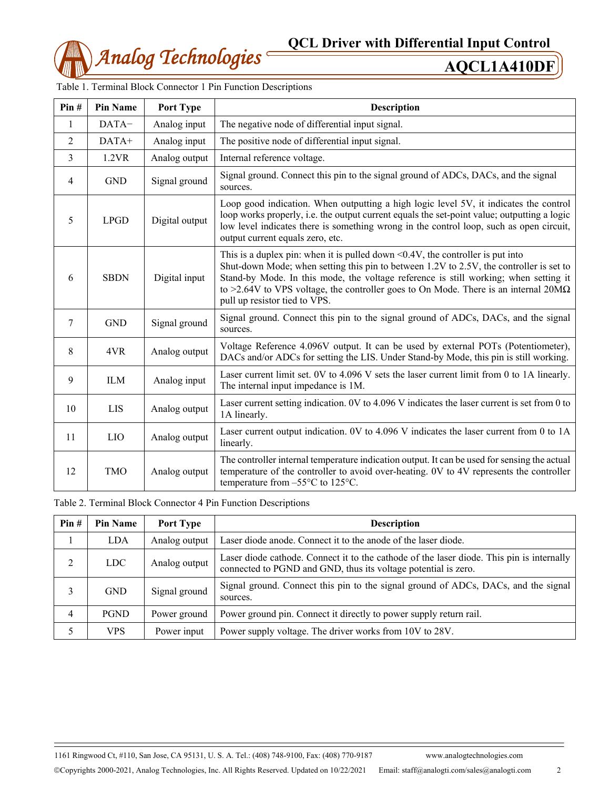

**AQCL1A410DF**

| Pin#           | <b>Pin Name</b> | Port Type      | Description                                                                                                                                                                                                                                                                                                                                                                                             |  |
|----------------|-----------------|----------------|---------------------------------------------------------------------------------------------------------------------------------------------------------------------------------------------------------------------------------------------------------------------------------------------------------------------------------------------------------------------------------------------------------|--|
| $\mathbf{1}$   | DATA-           | Analog input   | The negative node of differential input signal.                                                                                                                                                                                                                                                                                                                                                         |  |
| $\overline{c}$ | DATA+           | Analog input   | The positive node of differential input signal.                                                                                                                                                                                                                                                                                                                                                         |  |
| 3              | 1.2VR           | Analog output  | Internal reference voltage.                                                                                                                                                                                                                                                                                                                                                                             |  |
| 4              | <b>GND</b>      | Signal ground  | Signal ground. Connect this pin to the signal ground of ADCs, DACs, and the signal<br>sources.                                                                                                                                                                                                                                                                                                          |  |
| 5              | <b>LPGD</b>     | Digital output | Loop good indication. When outputting a high logic level 5V, it indicates the control<br>loop works properly, i.e. the output current equals the set-point value; outputting a logic<br>low level indicates there is something wrong in the control loop, such as open circuit,<br>output current equals zero, etc.                                                                                     |  |
| 6              | <b>SBDN</b>     | Digital input  | This is a duplex pin: when it is pulled down $\leq 0.4V$ , the controller is put into<br>Shut-down Mode; when setting this pin to between 1.2V to 2.5V, the controller is set to<br>Stand-by Mode. In this mode, the voltage reference is still working; when setting it<br>to >2.64V to VPS voltage, the controller goes to On Mode. There is an internal $20M\Omega$<br>pull up resistor tied to VPS. |  |
| $\overline{7}$ | <b>GND</b>      | Signal ground  | Signal ground. Connect this pin to the signal ground of ADCs, DACs, and the signal<br>sources.                                                                                                                                                                                                                                                                                                          |  |
| 8              | 4VR             | Analog output  | Voltage Reference 4.096V output. It can be used by external POTs (Potentiometer),<br>DACs and/or ADCs for setting the LIS. Under Stand-by Mode, this pin is still working.                                                                                                                                                                                                                              |  |
| 9              | <b>ILM</b>      | Analog input   | Laser current limit set. 0V to 4.096 V sets the laser current limit from 0 to 1A linearly.<br>The internal input impedance is 1M.                                                                                                                                                                                                                                                                       |  |
| 10             | <b>LIS</b>      | Analog output  | Laser current setting indication. 0V to 4.096 V indicates the laser current is set from 0 to<br>1A linearly.                                                                                                                                                                                                                                                                                            |  |
| 11             | <b>LIO</b>      | Analog output  | Laser current output indication. 0V to 4.096 V indicates the laser current from 0 to 1A<br>linearly.                                                                                                                                                                                                                                                                                                    |  |
| 12             | <b>TMO</b>      | Analog output  | The controller internal temperature indication output. It can be used for sensing the actual<br>temperature of the controller to avoid over-heating. 0V to 4V represents the controller<br>temperature from $-55^{\circ}$ C to 125 $^{\circ}$ C.                                                                                                                                                        |  |

Table 1. Terminal Block Connector 1 Pin Function Descriptions

Table 2. Terminal Block Connector 4 Pin Function Descriptions

| Pin# | <b>Pin Name</b> | Port Type     | <b>Description</b>                                                                                                                                          |  |
|------|-----------------|---------------|-------------------------------------------------------------------------------------------------------------------------------------------------------------|--|
|      | <b>LDA</b>      | Analog output | Laser diode anode. Connect it to the anode of the laser diode.                                                                                              |  |
| 2    | <b>LDC</b>      | Analog output | Laser diode cathode. Connect it to the cathode of the laser diode. This pin is internally<br>connected to PGND and GND, thus its voltage potential is zero. |  |
| 3    | <b>GND</b>      | Signal ground | Signal ground. Connect this pin to the signal ground of ADCs, DACs, and the signal<br>sources.                                                              |  |
| 4    | <b>PGND</b>     | Power ground  | Power ground pin. Connect it directly to power supply return rail.                                                                                          |  |
| 5    | <b>VPS</b>      | Power input   | Power supply voltage. The driver works from 10V to 28V.                                                                                                     |  |

1161 Ringwood Ct, #110, San Jose, CA 95131, U. S. A. Tel.: (408) 748-9100, Fax: (408) 770-9187 www.analogtechnologies.com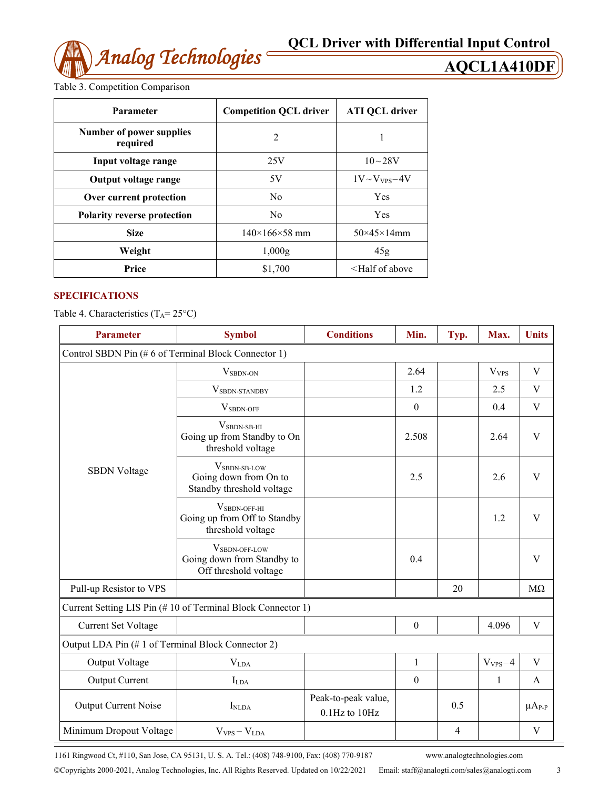**AQCL1A410DF**

Table 3. Competition Comparison

| <b>Parameter</b>                            | <b>Competition QCL driver</b> | <b>ATI QCL driver</b>               |
|---------------------------------------------|-------------------------------|-------------------------------------|
| <b>Number of power supplies</b><br>required | $\overline{2}$                |                                     |
| Input voltage range                         | 25V                           | $10 - 28V$                          |
| Output voltage range                        | 5V                            | $1V \sim V_{VPS} - 4V$              |
| Over current protection                     | N <sub>0</sub>                | Yes                                 |
| <b>Polarity reverse protection</b>          | N <sub>0</sub>                | Yes                                 |
| <b>Size</b>                                 | $140\times166\times58$ mm     | $50\times45\times14$ mm             |
| Weight                                      | 1,000g                        | 45g                                 |
| Price                                       | \$1,700                       | <half above<="" of="" th=""></half> |

#### **SPECIFICATIONS**

Table 4. Characteristics  $(T_A = 25^{\circ}C)$ 

| <b>Parameter</b>                                            | <b>Symbol</b>                                                                    | <b>Conditions</b>                    | Min.             | Typ. | Max.             | <b>Units</b>  |  |
|-------------------------------------------------------------|----------------------------------------------------------------------------------|--------------------------------------|------------------|------|------------------|---------------|--|
| Control SBDN Pin (#6 of Terminal Block Connector 1)         |                                                                                  |                                      |                  |      |                  |               |  |
|                                                             | $V_{SBDN-ON}$                                                                    |                                      | 2.64             |      | V <sub>VPS</sub> | V             |  |
|                                                             | VSBDN-STANDBY                                                                    |                                      | 1.2              |      | 2.5              | V             |  |
|                                                             | $V_{SBDN\text{-}OFF}$                                                            |                                      | $\theta$         |      | 0.4              | V             |  |
|                                                             | $VSBDN-SB-HI$<br>Going up from Standby to On<br>threshold voltage                |                                      | 2.508            |      | 2.64             | V             |  |
| <b>SBDN</b> Voltage                                         | $V_{SBDN-SB-LOW}$<br>Going down from On to<br>Standby threshold voltage          |                                      | 2.5              |      | 2.6              | V             |  |
|                                                             | $VSBDN-OFF-HI$<br>Going up from Off to Standby<br>threshold voltage              |                                      |                  |      | 1.2              | V             |  |
|                                                             | V <sub>SBDN-OFF-LOW</sub><br>Going down from Standby to<br>Off threshold voltage |                                      | 0.4              |      |                  | V             |  |
| Pull-up Resistor to VPS                                     |                                                                                  |                                      |                  | 20   |                  | $M\Omega$     |  |
| Current Setting LIS Pin (#10 of Terminal Block Connector 1) |                                                                                  |                                      |                  |      |                  |               |  |
| <b>Current Set Voltage</b>                                  |                                                                                  |                                      | $\boldsymbol{0}$ |      | 4.096            | $\mathbf V$   |  |
| Output LDA Pin (#1 of Terminal Block Connector 2)           |                                                                                  |                                      |                  |      |                  |               |  |
| Output Voltage                                              | V <sub>LDA</sub>                                                                 |                                      | 1                |      | $V_{VPS} - 4$    | V             |  |
| <b>Output Current</b>                                       | <b>I</b> LDA                                                                     |                                      | $\mathbf{0}$     |      | $\mathbf{1}$     | A             |  |
| Output Current Noise                                        | I <sub>NLDA</sub>                                                                | Peak-to-peak value,<br>0.1Hz to 10Hz |                  | 0.5  |                  | $\mu A_{P-P}$ |  |
| Minimum Dropout Voltage                                     | $V_{VPS} - V_{LDA}$                                                              |                                      |                  | 4    |                  | V             |  |

1161 Ringwood Ct, #110, San Jose, CA 95131, U. S. A. Tel.: (408) 748-9100, Fax: (408) 770-9187 www.analogtechnologies.com

Copyrights 2000-2021, Analog Technologies, Inc. All Rights Reserved. Updated on 10/22/2021 Email: staff@analogti.com/sales@analogti.com 3

 $\equiv$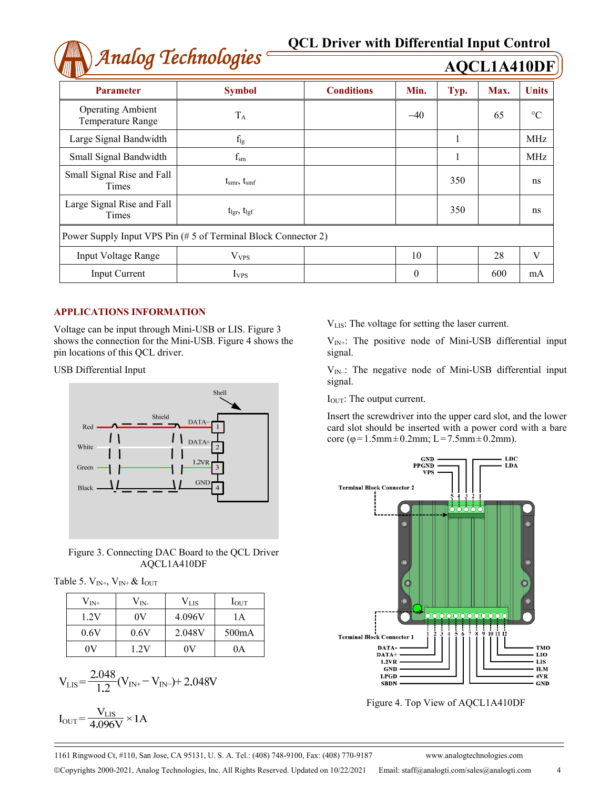## *Analog Technologies* **QCL Driver with Differential Input Control**

| Anawy Icennowyies                                              |                               |                   |          | <b>AQCL1A410DF</b> |      |                 |
|----------------------------------------------------------------|-------------------------------|-------------------|----------|--------------------|------|-----------------|
| <b>Parameter</b>                                               | <b>Symbol</b>                 | <b>Conditions</b> | Min.     | Typ.               | Max. | <b>Units</b>    |
| <b>Operating Ambient</b><br><b>Temperature Range</b>           | $T_A$                         |                   | $-40$    |                    | 65   | $\rm ^{\circ}C$ |
| Large Signal Bandwidth                                         | $f_{lg}$                      |                   |          |                    |      | <b>MHz</b>      |
| Small Signal Bandwidth                                         | $\rm f_{\rm sm}$              |                   |          |                    |      | <b>MHz</b>      |
| Small Signal Rise and Fall<br>Times                            | $t_{\rm smr}, t_{\rm smf}$    |                   |          | 350                |      | ns              |
| Large Signal Rise and Fall<br>Times                            | $t_{\rm lgr}$ , $t_{\rm lgf}$ |                   |          | 350                |      | ns              |
| Power Supply Input VPS Pin (# 5 of Terminal Block Connector 2) |                               |                   |          |                    |      |                 |
| <b>Input Voltage Range</b>                                     | V <sub>VPS</sub>              |                   | 10       |                    | 28   | V               |
| Input Current                                                  | I <sub>VPS</sub>              |                   | $\theta$ |                    | 600  | mA              |

#### **APPLICATIONS INFORMATION**

Voltage can be input through Mini-USB or LIS. Figure 3 shows the connection for the Mini-USB. Figure 4 shows the pin locations of this QCL driver.

USB Differential Input



Figure 3. Connecting DAC Board to the QCL Driver AQCL1A410DF

Table 5.  $V_{IN^+}$ ,  $V_{IN^+}$  &  $I_{OUT}$ 

| $\rm V_{\rm IN+}$ | $V_{IN}$ | $\rm V_{\rm LIS}$ | $I_{\rm{OUT}}$     |
|-------------------|----------|-------------------|--------------------|
| 1.2V              | 0V       | 4.096V            | 1 A                |
| 0.6V              | 0.6V     | 2.048V            | 500 <sub>m</sub> A |
| ОV                | 1 2V     | 0V                | 0A                 |

$$
V_{LIS} = \frac{2.048}{1.2} (V_{IN+} - V_{IN-}) + 2.048V
$$

$$
I_{OUT} = \frac{V_{LIS}}{4.096V} \times 1A
$$

VLIS: The voltage for setting the laser current.

 $V_{IN+}$ : The positive node of Mini-USB differential input signal.

 $V_{IN}$ : The negative node of Mini-USB differential input signal.

I<sub>OUT</sub>: The output current.

Insert the screwdriver into the upper card slot, and the lower card slot should be inserted with a power cord with a bare core ( $\varphi$ =1.5mm  $\pm$ 0.2mm; L=7.5mm  $\pm$ 0.2mm).



Figure 4. Top View of AQCL1A410DF

Copyrights 2000-2021, Analog Technologies, Inc. All Rights Reserved. Updated on 10/22/2021 Email: staff@analogti.com/sales@analogti.com 4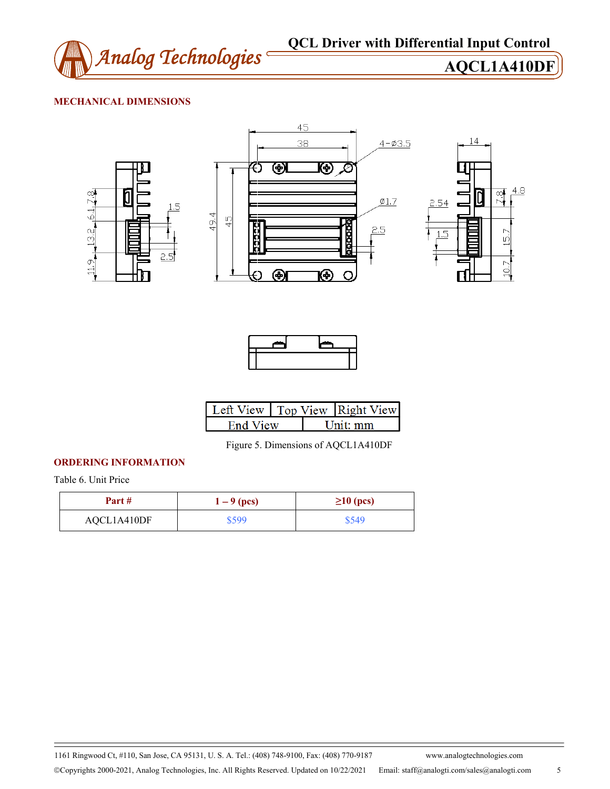

**AQCL1A410DF**

#### **MECHANICAL DIMENSIONS**





|  | Left View   Top View   Right View |
|--|-----------------------------------|
|  | Init: mm                          |

Figure 5. Dimensions of AQCL1A410DF

#### **ORDERING INFORMATION**

Table 6. Unit Price

| Part #      | $1 - 9$ (pcs) | $\geq$ 10 (pcs) |  |
|-------------|---------------|-----------------|--|
| AQCL1A410DF | \$599         | \$549           |  |